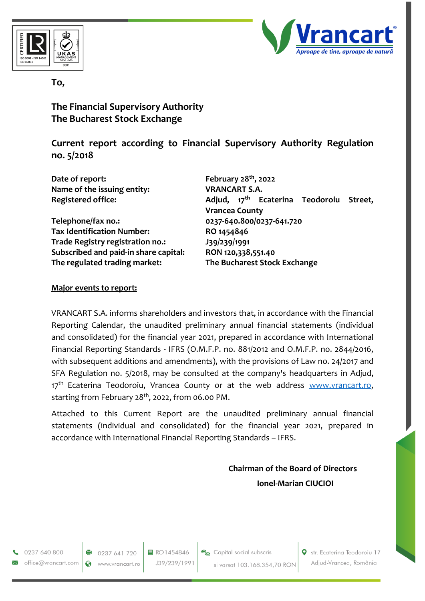



**To,**

**The Financial Supervisory Authority The Bucharest Stock Exchange**

**Current report according to Financial Supervisory Authority Regulation no. 5/2018**

| Date of report:<br>Name of the issuing entity: | February $28th$ , 2022<br><b>VRANCART S.A.</b>                                  |
|------------------------------------------------|---------------------------------------------------------------------------------|
| <b>Registered office:</b>                      | Adjud, 17 <sup>th</sup> Ecaterina Teodoroiu<br>Street,<br><b>Vrancea County</b> |
| Telephone/fax no.:                             | 0237-640.800/0237-641.720                                                       |
| <b>Tax Identification Number:</b>              | RO 1454846                                                                      |
| Trade Registry registration no.:               | J39/239/1991                                                                    |
| Subscribed and paid-in share capital:          | RON 120,338,551.40                                                              |
| The regulated trading market:                  | The Bucharest Stock Exchange                                                    |

#### **Major events to report:**

VRANCART S.A. informs shareholders and investors that, in accordance with the Financial Reporting Calendar, the unaudited preliminary annual financial statements (individual and consolidated) for the financial year 2021, prepared in accordance with International Financial Reporting Standards - IFRS (O.M.F.P. no. 881/2012 and O.M.F.P. no. 2844/2016, with subsequent additions and amendments), with the provisions of Law no. 24/2017 and SFA Regulation no. 5/2018, may be consulted at the company's headquarters in Adjud, 17<sup>th</sup> Ecaterina Teodoroiu, Vrancea County or at the web address [www.vrancart.ro,](http://www.vrancart.ro/) starting from February 28<sup>th</sup>, 2022, from 06.00 PM.

Attached to this Current Report are the unaudited preliminary annual financial statements (individual and consolidated) for the financial year 2021, prepared in accordance with International Financial Reporting Standards – IFRS.

# **Chairman of the Board of Directors Ionel-Marian CIUCIOI**

0237 640 800 office@vrancart.com

0237 641 720 www.vrancart.ro

Ø

目 RO1454846 J39/239/1991

Capital social subscris si varsat 103.168.354,70 RON Str. Ecaterina Teodoroiu 17 Adjud-Vrancea, România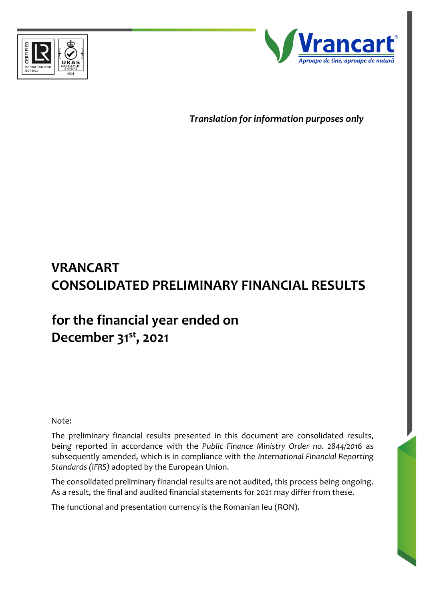



*Translation for information purposes only*

# **VRANCART CONSOLIDATED PRELIMINARY FINANCIAL RESULTS**

# **for the financial year ended on December 31st, 2021**

Note:

The preliminary financial results presented in this document are consolidated results, being reported in accordance with the *Public Finance Ministry Order no. 2844/2016* as subsequently amended, which is in compliance with the *International Financial Reporting Standards (IFRS)* adopted by the European Union.

The consolidated preliminary financial results are not audited, this process being ongoing. As a result, the final and audited financial statements for 2021 may differ from these.

The functional and presentation currency is the Romanian leu (RON).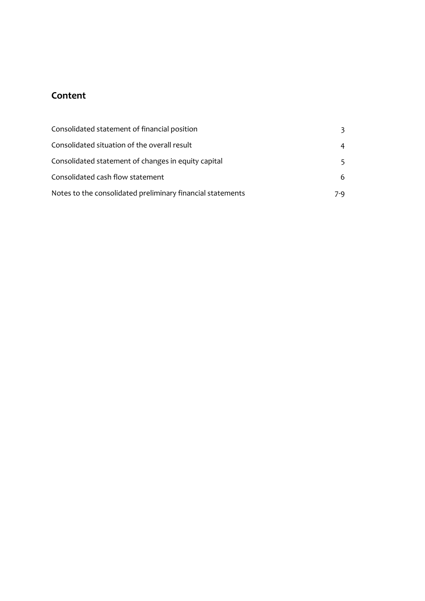# **Content**

| Consolidated statement of financial position               |     |
|------------------------------------------------------------|-----|
| Consolidated situation of the overall result               | 4   |
| Consolidated statement of changes in equity capital        |     |
| Consolidated cash flow statement                           | 6.  |
| Notes to the consolidated preliminary financial statements | 7-9 |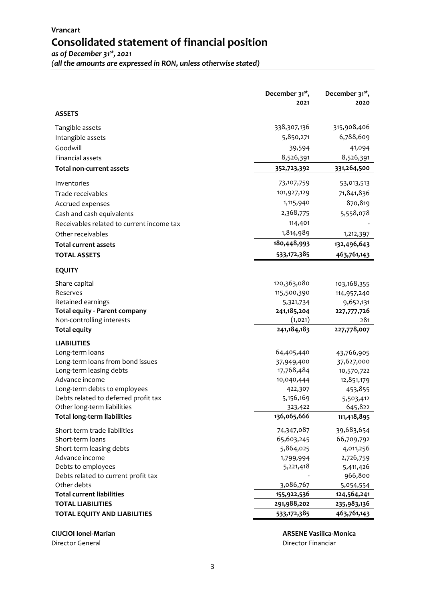#### **Vrancart Consolidated statement of financial position** *as of December 31st, 2021*

*(all the amounts are expressed in RON, unless otherwise stated)*

**December 31st , 2021 December 31st , 2020 ASSETS** Tangible assets 5 338,307,136 315,908,406 Intangible assets 6,788,609 Goodwill 39,594 41,094 Financial assets 8,526,391 8,526,391 8,526,391 **Total non-current assets 352,723,392 331,264,500** Inventories 53,013,513 Trade receivables 71,841,836 Accrued expenses 870,819 Cash and cash equivalents **2,368,775** 5,558,078 Receivables related to current income tax 114,401 Other receivables 1,814,989 1,212,397 **Total current assets 180,448,993 132,496,643 TOTAL ASSETS 533,172,385 463,761,143 EQUITY** Share capital 103,168,355 103,168,355 103,168,355 103,168,355 103,168,355 Reserves 115,500,390 114,957,240 Retained earnings 5,321,734 9,652,131 **Total equity - Parent company 241,185,204 227,777,726** Non-controlling interests (1,021) 281 **Total equity 241,184,183 227,778,007 LIABILITIES** Long-term loans 13 64,405,440 43,766,905 Long-term loans from bond issues 37,949,400 37,627,000 Long-term leasing debts 17,768,484 10,570,722 Advance income 16 10,040,444 12,851,179 Long-term debts to employees 15 and 22,307 422,307 453,855 Debts related to deferred profit tax 5,156,169 5,503,412 Other long-term liabilities **323,422** 645,822 **Total long-term liabilities 136,065,666 111,418,895** Short-term trade liabilities 11 1 1 1 2 39,683,654 Short-term loans 13 65,603,245 66,709,792 Short-term leasing debts 6.6 and 5,864,025 5,864,025 4,011,256 Advance income 2,726,759 2,726,759 2,726,759 2,726,759 2,726,759 2,726,759 2,726,759 2,726,759 2,726,759 2,726 Debts to employees 6.411,426 Debts related to current profit tax  $966,800$ Other debts 12 3,086,767 5,054,554 **Total current liabilities 155,922,536 124,564,241 TOTAL LIABILITIES 291,988,202 235,983,136 TOTAL EQUITY AND LIABILITIES 533,172,385 463,761,143**

Director General Director Financiar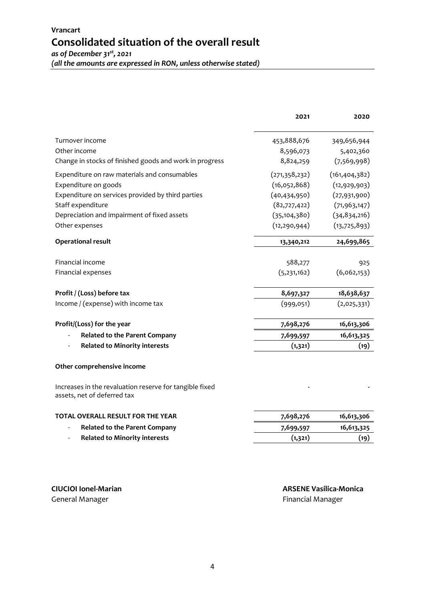|                                                                                        | 2021            | 2020            |
|----------------------------------------------------------------------------------------|-----------------|-----------------|
| Turnover income                                                                        | 453,888,676     | 349,656,944     |
| Other income                                                                           | 8,596,073       | 5,402,360       |
| Change in stocks of finished goods and work in progress                                | 8,824,259       | (7, 569, 998)   |
| Expenditure on raw materials and consumables                                           | (271, 358, 232) | (161, 404, 382) |
| Expenditure on goods                                                                   | (16,052,868)    | (12, 929, 903)  |
| Expenditure on services provided by third parties                                      | (40, 434, 950)  | (27,931,900)    |
| Staff expenditure                                                                      | (82,727,422)    | (71, 963, 147)  |
| Depreciation and impairment of fixed assets                                            | (35, 104, 380)  | (34, 834, 216)  |
| Other expenses                                                                         | (12, 290, 944)  | (13, 725, 893)  |
| <b>Operational result</b>                                                              | 13,340,212      | 24,699,865      |
| Financial income                                                                       | 588,277         | 925             |
| Financial expenses                                                                     | (5,231,162)     | (6,062,153)     |
| Profit / (Loss) before tax                                                             | 8,697,327       | 18,638,637      |
| Income / (expense) with income tax                                                     | (999,051)       | (2,025,331)     |
| Profit/(Loss) for the year                                                             | 7,698,276       | 16,613,306      |
| <b>Related to the Parent Company</b>                                                   | 7,699,597       | 16,613,325      |
| <b>Related to Minority interests</b>                                                   | (1,321)         | (19)            |
| Other comprehensive income                                                             |                 |                 |
| Increases in the revaluation reserve for tangible fixed<br>assets, net of deferred tax |                 |                 |
| TOTAL OVERALL RESULT FOR THE YEAR                                                      | 7,698,276       | 16,613,306      |
| <b>Related to the Parent Company</b>                                                   | 7,699,597       | 16,613,325      |
| <b>Related to Minority interests</b>                                                   | (1,321)         | (19)            |

**CIUCIOI Ionel-Marian ARSENE Vasilica-Monica** Financial Manager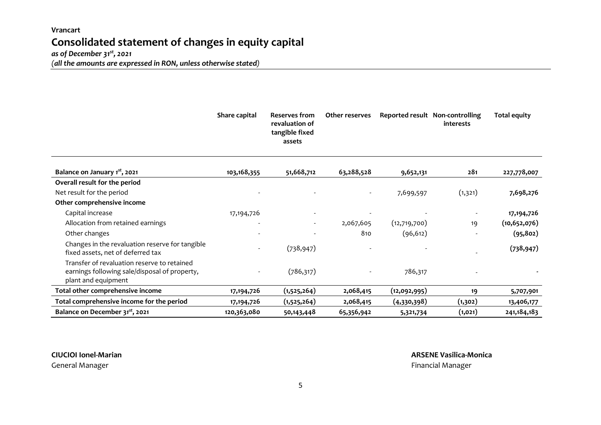### **Vrancart Consolidated statement of changes in equity capital**  *as of December 31st, 2021*

*(all the amounts are expressed in RON, unless otherwise stated)*

|                                                                                                                     | Share capital            | <b>Reserves from</b><br>revaluation of<br>tangible fixed<br>assets | <b>Other reserves</b> |              | Reported result Non-controlling<br>interests | <b>Total equity</b> |
|---------------------------------------------------------------------------------------------------------------------|--------------------------|--------------------------------------------------------------------|-----------------------|--------------|----------------------------------------------|---------------------|
| Balance on January 1 <sup>st</sup> , 2021                                                                           | 103, 168, 355            | 51,668,712                                                         | 63,288,528            | 9,652,131    | 281                                          | 227,778,007         |
| Overall result for the period                                                                                       |                          |                                                                    |                       |              |                                              |                     |
| Net result for the period                                                                                           |                          |                                                                    |                       | 7,699,597    | (1,321)                                      | 7,698,276           |
| Other comprehensive income                                                                                          |                          |                                                                    |                       |              |                                              |                     |
| Capital increase                                                                                                    | 17, 194, 726             |                                                                    |                       |              | $\overline{\phantom{a}}$                     | 17, 194, 726        |
| Allocation from retained earnings                                                                                   |                          |                                                                    | 2,067,605             | (12,719,700) | 19                                           | (10, 652, 076)      |
| Other changes                                                                                                       |                          |                                                                    | 810                   | (96, 612)    |                                              | (95, 802)           |
| Changes in the revaluation reserve for tangible<br>fixed assets, net of deferred tax                                | $\overline{\phantom{a}}$ | (738, 947)                                                         |                       |              |                                              | (738, 947)          |
| Transfer of revaluation reserve to retained<br>earnings following sale/disposal of property,<br>plant and equipment |                          | (786, 317)                                                         |                       | 786,317      |                                              |                     |
| Total other comprehensive income                                                                                    | 17, 194, 726             | (1,525,264)                                                        | 2,068,415             | (12,092,995) | 19                                           | 5,707,901           |
| Total comprehensive income for the period                                                                           | 17, 194, 726             | (1,525,264)                                                        | 2,068,415             | (4,330,398)  | (1,302)                                      | 13,406,177          |
| Balance on December 31 <sup>st</sup> , 2021                                                                         | 120,363,080              | 50,143,448                                                         | 65,356,942            | 5,321,734    | (1, 021)                                     | 241,184,183         |

General Manager Financial Manager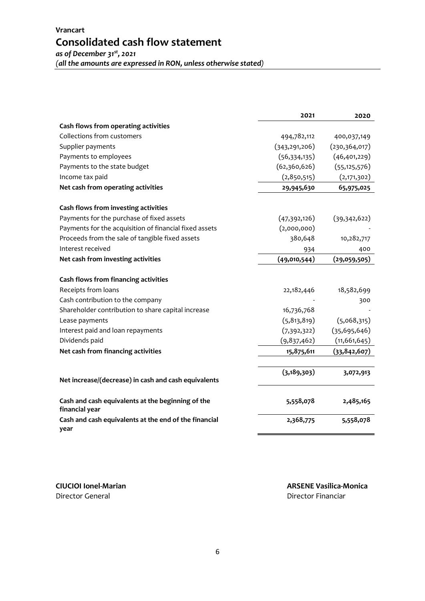| (all the amounts are expressed in RON, unless otherwise stated) |  |
|-----------------------------------------------------------------|--|
|-----------------------------------------------------------------|--|

|                                                                     | 2021            | 2020           |
|---------------------------------------------------------------------|-----------------|----------------|
| Cash flows from operating activities                                |                 |                |
| Collections from customers                                          | 494,782,112     | 400,037,149    |
| Supplier payments                                                   | (343, 291, 206) | (230,364,017)  |
| Payments to employees                                               | (56, 334, 135)  | (46, 401, 229) |
| Payments to the state budget                                        | (62,360,626)    | (55, 125, 576) |
| Income tax paid                                                     | (2,850,515)     | (2,171,302)    |
| Net cash from operating activities                                  | 29,945,630      | 65,975,025     |
| Cash flows from investing activities                                |                 |                |
| Payments for the purchase of fixed assets                           | (47,392,126)    | (39,342,622)   |
| Payments for the acquisition of financial fixed assets              | (2,000,000)     |                |
| Proceeds from the sale of tangible fixed assets                     | 380,648         | 10,282,717     |
| Interest received                                                   | 934             | 400            |
| Net cash from investing activities                                  | (49,010,544)    | (29,059,505)   |
| Cash flows from financing activities                                |                 |                |
| Receipts from loans                                                 | 22,182,446      | 18,582,699     |
| Cash contribution to the company                                    |                 | 300            |
| Shareholder contribution to share capital increase                  | 16,736,768      |                |
| Lease payments                                                      | (5, 813, 819)   | (5,068,315)    |
| Interest paid and loan repayments                                   | (7,392,322)     | (35, 695, 646) |
| Dividends paid                                                      | (9,837,462)     | (11, 661, 645) |
| Net cash from financing activities                                  | 15,875,611      | (33, 842, 607) |
|                                                                     | (3, 189, 303)   | 3,072,913      |
| Net increase/(decrease) in cash and cash equivalents                |                 |                |
| Cash and cash equivalents at the beginning of the<br>financial year | 5,558,078       | 2,485,165      |
| Cash and cash equivalents at the end of the financial<br>year       | 2,368,775       | 5,558,078      |

Director General Director Financiar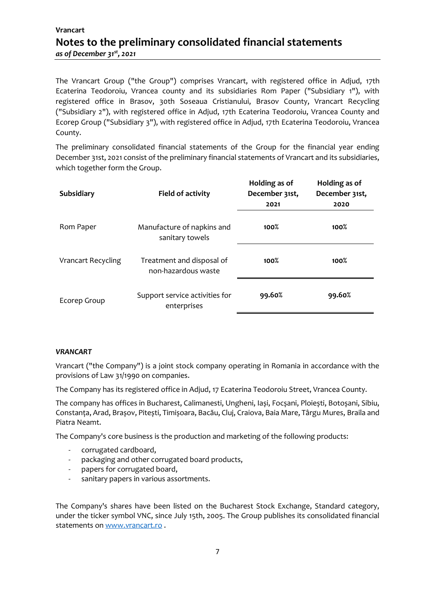# **Vrancart Notes to the preliminary consolidated financial statements** *as of December 31st , 2021*

The Vrancart Group ("the Group") comprises Vrancart, with registered office in Adjud, 17th Ecaterina Teodoroiu, Vrancea county and its subsidiaries Rom Paper ("Subsidiary 1"), with registered office in Brasov, 30th Soseaua Cristianului, Brasov County, Vrancart Recycling ("Subsidiary 2"), with registered office in Adjud, 17th Ecaterina Teodoroiu, Vrancea County and Ecorep Group ("Subsidiary 3"), with registered office in Adjud, 17th Ecaterina Teodoroiu, Vrancea County.

The preliminary consolidated financial statements of the Group for the financial year ending December 31st, 2021 consist of the preliminary financial statements of Vrancart and its subsidiaries, which together form the Group.

| <b>Subsidiary</b>         | <b>Field of activity</b>                         | Holding as of<br>December 31st, | Holding as of<br>December 31st, |
|---------------------------|--------------------------------------------------|---------------------------------|---------------------------------|
|                           |                                                  | 2021                            | 2020                            |
| Rom Paper                 | Manufacture of napkins and<br>sanitary towels    | $100\%$                         | 100%                            |
| <b>Vrancart Recycling</b> | Treatment and disposal of<br>non-hazardous waste | 100%                            | 100%                            |
| Ecorep Group              | Support service activities for<br>enterprises    | 99.60%                          | 99.60%                          |

#### *VRANCART*

Vrancart ("the Company") is a joint stock company operating in Romania in accordance with the provisions of Law 31/1990 on companies.

The Company has its registered office in Adjud, 17 Ecaterina Teodoroiu Street, Vrancea County.

The company has offices in Bucharest, Calimanesti, Ungheni, Iași, Focșani, Ploiești, Botoșani, Sibiu, Constanța, Arad, Brașov, Pitești, Timișoara, Bacău, Cluj, Craiova, Baia Mare, Târgu Mures, Braila and Piatra Neamt.

The Company's core business is the production and marketing of the following products:

- corrugated cardboard,
- packaging and other corrugated board products,
- papers for corrugated board,
- sanitary papers in various assortments.

The Company's shares have been listed on the Bucharest Stock Exchange, Standard category, under the ticker symbol VNC, since July 15th, 2005. The Group publishes its consolidated financial statements o[n www.vrancart.ro](http://www.vrancart.ro/).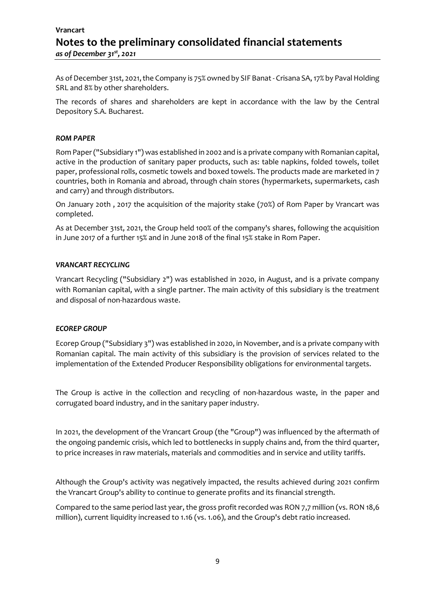# **Vrancart Notes to the preliminary consolidated financial statements** *as of December 31st , 2021*

As of December 31st, 2021, the Company is 75% owned by SIF Banat - Crisana SA, 17% by Paval Holding SRL and 8% by other shareholders.

The records of shares and shareholders are kept in accordance with the law by the Central Depository S.A. Bucharest.

#### *ROM PAPER*

Rom Paper ("Subsidiary 1") was established in 2002 and is a private company with Romanian capital, active in the production of sanitary paper products, such as: table napkins, folded towels, toilet paper, professional rolls, cosmetic towels and boxed towels. The products made are marketed in 7 countries, both in Romania and abroad, through chain stores (hypermarkets, supermarkets, cash and carry) and through distributors.

On January 20th , 2017 the acquisition of the majority stake (70%) of Rom Paper by Vrancart was completed.

As at December 31st, 2021, the Group held 100% of the company's shares, following the acquisition in June 2017 of a further 15% and in June 2018 of the final 15% stake in Rom Paper.

#### *VRANCART RECYCLING*

Vrancart Recycling ("Subsidiary 2") was established in 2020, in August, and is a private company with Romanian capital, with a single partner. The main activity of this subsidiary is the treatment and disposal of non-hazardous waste.

#### *ECOREP GROUP*

Ecorep Group ("Subsidiary 3") was established in 2020, in November, and is a private company with Romanian capital. The main activity of this subsidiary is the provision of services related to the implementation of the Extended Producer Responsibility obligations for environmental targets.

The Group is active in the collection and recycling of non-hazardous waste, in the paper and corrugated board industry, and in the sanitary paper industry.

In 2021, the development of the Vrancart Group (the "Group") was influenced by the aftermath of the ongoing pandemic crisis, which led to bottlenecks in supply chains and, from the third quarter, to price increases in raw materials, materials and commodities and in service and utility tariffs.

Although the Group's activity was negatively impacted, the results achieved during 2021 confirm the Vrancart Group's ability to continue to generate profits and its financial strength.

Compared to the same period last year, the gross profit recorded was RON 7,7 million (vs. RON 18,6 million), current liquidity increased to 1.16 (vs. 1.06), and the Group's debt ratio increased.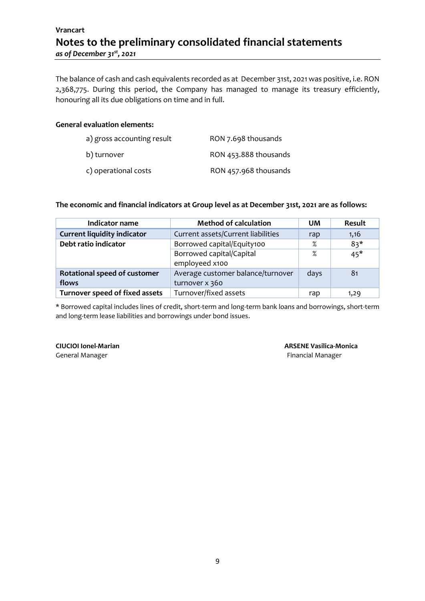# **Vrancart Notes to the preliminary consolidated financial statements** *as of December 31st , 2021*

The balance of cash and cash equivalents recorded as at December 31st, 2021 was positive, i.e. RON 2,368,775. During this period, the Company has managed to manage its treasury efficiently, honouring all its due obligations on time and in full.

#### **General evaluation elements:**

| a) gross accounting result | RON 7.698 thousands   |
|----------------------------|-----------------------|
| b) turnover                | RON 453.888 thousands |
| c) operational costs       | RON 457.968 thousands |

#### **The economic and financial indicators at Group level as at December 31st, 2021 are as follows:**

| Indicator name                     | <b>Method of calculation</b>       | <b>UM</b> | Result         |
|------------------------------------|------------------------------------|-----------|----------------|
| <b>Current liquidity indicator</b> | Current assets/Current liabilities | rap       | 1,16           |
| Debt ratio indicator               | Borrowed capital/Equity100         | $\%$      | $83*$          |
|                                    | Borrowed capital/Capital           | ℅         | $45*$          |
|                                    | employeed x100                     |           |                |
| Rotational speed of customer       | Average customer balance/turnover  | days      | 8 <sub>1</sub> |
| flows                              | turnover x 360                     |           |                |
| Turnover speed of fixed assets     | Turnover/fixed assets              | rap       | 1,29           |

\* Borrowed capital includes lines of credit, short-term and long-term bank loans and borrowings, short-term and long-term lease liabilities and borrowings under bond issues.

General Manager **Financial Manager Financial Manager**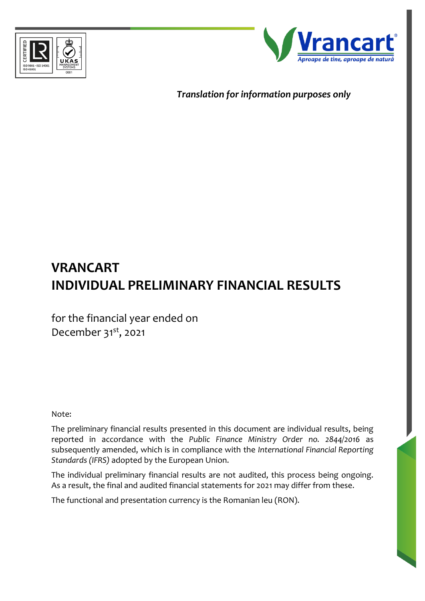



*Translation for information purposes only*

# **VRANCART INDIVIDUAL PRELIMINARY FINANCIAL RESULTS**

for the financial year ended on December 31<sup>st</sup>, 2021

Note:

The preliminary financial results presented in this document are individual results, being reported in accordance with the *Public Finance Ministry Order no. 2844/2016* as subsequently amended, which is in compliance with the *International Financial Reporting Standards (IFRS)* adopted by the European Union.

The individual preliminary financial results are not audited, this process being ongoing. As a result, the final and audited financial statements for 2021 may differ from these.

The functional and presentation currency is the Romanian leu (RON).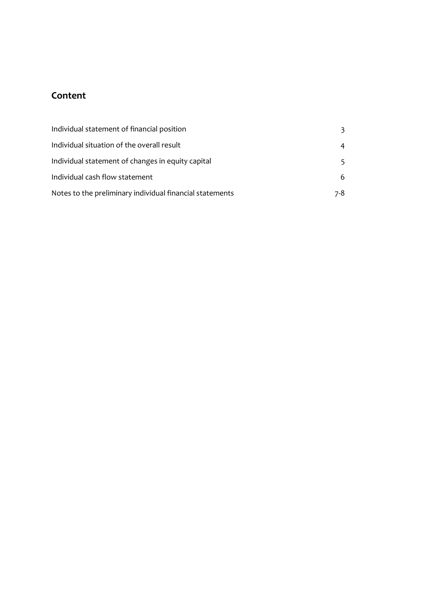# **Content**

| Individual statement of financial position               |     |
|----------------------------------------------------------|-----|
| Individual situation of the overall result               | 4   |
| Individual statement of changes in equity capital        |     |
| Individual cash flow statement                           | 6.  |
| Notes to the preliminary individual financial statements | 7-8 |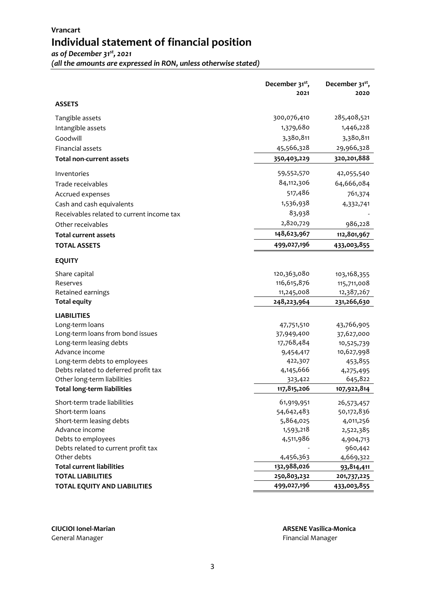# **Vrancart Individual statement of financial position**

*as of December 31st, 2021*

*(all the amounts are expressed in RON, unless otherwise stated)*

|                                                                   | December 31 <sup>st</sup> ,<br>2021 | December 31 <sup>st</sup> ,<br>2020 |
|-------------------------------------------------------------------|-------------------------------------|-------------------------------------|
| <b>ASSETS</b>                                                     |                                     |                                     |
| Tangible assets                                                   | 300,076,410                         | 285,408,521                         |
| Intangible assets                                                 | 1,379,680                           | 1,446,228                           |
| Goodwill                                                          | 3,380,811                           | 3,380,811                           |
| Financial assets                                                  | 45,566,328                          | 29,966,328                          |
| <b>Total non-current assets</b>                                   | 350,403,229                         | 320,201,888                         |
| Inventories                                                       | 59,552,570                          | 42,055,540                          |
| Trade receivables                                                 | 84,112,306                          | 64,666,084                          |
| Accrued expenses                                                  | 517,486                             | 761,374                             |
| Cash and cash equivalents                                         | 1,536,938                           | 4,332,741                           |
| Receivables related to current income tax                         | 83,938                              |                                     |
| Other receivables                                                 | 2,820,729                           | 986,228                             |
| <b>Total current assets</b>                                       | 148,623,967                         | 112,801,967                         |
| <b>TOTAL ASSETS</b>                                               | 499,027,196                         | 433,003,855                         |
| <b>EQUITY</b>                                                     |                                     |                                     |
| Share capital                                                     | 120,363,080                         | 103,168,355                         |
| Reserves                                                          | 116,615,876                         | 115,711,008                         |
| Retained earnings                                                 | 11,245,008                          | 12,387,267                          |
| <b>Total equity</b>                                               | 248,223,964                         | 231,266,630                         |
| <b>LIABILITIES</b>                                                |                                     |                                     |
| Long-term loans                                                   | 47,751,510                          | 43,766,905                          |
| Long-term loans from bond issues                                  | 37,949,400                          | 37,627,000                          |
| Long-term leasing debts                                           | 17,768,484                          | 10,525,739                          |
| Advance income                                                    | 9,454,417                           | 10,627,998                          |
| Long-term debts to employees                                      | 422,307                             | 453,855                             |
| Debts related to deferred profit tax                              | 4,145,666                           | 4,275,495                           |
| Other long-term liabilities<br><b>Total long-term liabilities</b> | 323,422<br>117,815,206              | 645,822                             |
|                                                                   |                                     | 107,922,814                         |
| Short-term trade liabilities                                      | 61,919,951                          | 26,573,457                          |
| Short-term loans                                                  | 54,642,483                          | 50,172,836                          |
| Short-term leasing debts                                          | 5,864,025                           | 4,011,256                           |
| Advance income                                                    | 1,593,218                           | 2,522,385                           |
| Debts to employees                                                | 4,511,986                           | 4,904,713                           |
| Debts related to current profit tax<br>Other debts                |                                     | 960,442                             |
| <b>Total current liabilities</b>                                  | 4,456,363<br>132,988,026            | 4,669,322<br>93,814,411             |
| <b>TOTAL LIABILITIES</b>                                          | 250,803,232                         | 201,737,225                         |
| <b>TOTAL EQUITY AND LIABILITIES</b>                               | 499,027,196                         | 433,003,855                         |
|                                                                   |                                     |                                     |

**CIUCIOI Ionel-Marian ARSENE Vasilica-Monica**

General Manager **Financial Manager Financial Manager Financial Manager**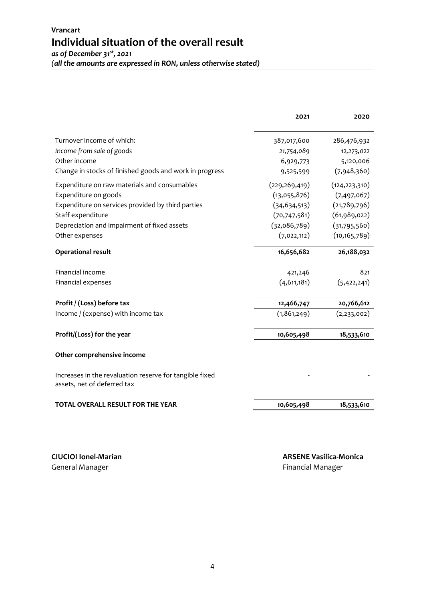|                                                                                        | 2021            | 2020            |
|----------------------------------------------------------------------------------------|-----------------|-----------------|
| Turnover income of which:                                                              | 387,017,600     | 286,476,932     |
| Income from sale of goods                                                              | 21,754,089      | 12,273,022      |
| Other income                                                                           | 6,929,773       | 5,120,006       |
| Change in stocks of finished goods and work in progress                                | 9,525,599       | (7,948,360)     |
| Expenditure on raw materials and consumables                                           | (229, 269, 419) | (124, 223, 310) |
| Expenditure on goods                                                                   | (13,055,876)    | (7,497,067)     |
| Expenditure on services provided by third parties                                      | (34, 634, 513)  | (21,789,796)    |
| Staff expenditure                                                                      | (70, 747, 581)  | (61,989,022)    |
| Depreciation and impairment of fixed assets                                            | (32,086,789)    | (31,795,560)    |
| Other expenses                                                                         | (7,022,112)     | (10, 165, 789)  |
| <b>Operational result</b>                                                              | 16,656,682      | 26,188,032      |
| Financial income                                                                       | 421,246         | 821             |
| Financial expenses                                                                     | (4,611,181)     | (5,422,241)     |
| Profit / (Loss) before tax                                                             | 12,466,747      | 20,766,612      |
| Income / (expense) with income tax                                                     | (1,861,249)     | (2, 233, 002)   |
| Profit/(Loss) for the year                                                             | 10,605,498      | 18,533,610      |
| Other comprehensive income                                                             |                 |                 |
| Increases in the revaluation reserve for tangible fixed<br>assets, net of deferred tax |                 |                 |
| <b>TOTAL OVERALL RESULT FOR THE YEAR</b>                                               | 10,605,498      | 18,533,610      |

General Manager **Financial Manager General Manager Financial Manager**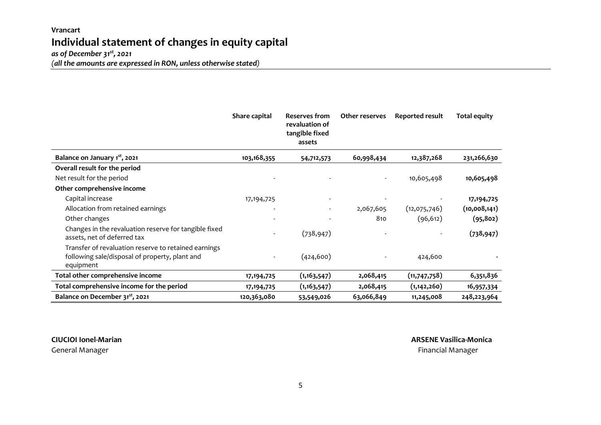### **Vrancart Individual statement of changes in equity capital**  *as of December 31st, 2021*

*(all the amounts are expressed in RON, unless otherwise stated)*

|                                                                                                                     | Share capital | Reserves from<br>revaluation of<br>tangible fixed<br>assets | Other reserves | Reported result | <b>Total equity</b> |
|---------------------------------------------------------------------------------------------------------------------|---------------|-------------------------------------------------------------|----------------|-----------------|---------------------|
| Balance on January 1 <sup>st</sup> , 2021                                                                           | 103,168,355   | 54,712,573                                                  | 60,998,434     | 12,387,268      | 231,266,630         |
| Overall result for the period                                                                                       |               |                                                             |                |                 |                     |
| Net result for the period                                                                                           |               |                                                             |                | 10,605,498      | 10,605,498          |
| Other comprehensive income                                                                                          |               |                                                             |                |                 |                     |
| Capital increase                                                                                                    | 17, 194, 725  |                                                             |                |                 | 17, 194, 725        |
| Allocation from retained earnings                                                                                   |               |                                                             | 2,067,605      | (12,075,746)    | (10,008,141)        |
| Other changes                                                                                                       |               |                                                             | 810            | (96, 612)       | (95, 802)           |
| Changes in the revaluation reserve for tangible fixed<br>assets, net of deferred tax                                |               | (738, 947)                                                  |                |                 | (738, 947)          |
| Transfer of revaluation reserve to retained earnings<br>following sale/disposal of property, plant and<br>equipment |               | (424, 600)                                                  |                | 424,600         |                     |
| Total other comprehensive income                                                                                    | 17, 194, 725  | (1, 163, 547)                                               | 2,068,415      | (11,747,758)    | 6,351,836           |
| Total comprehensive income for the period                                                                           | 17, 194, 725  | (1, 163, 547)                                               | 2,068,415      | (1, 142, 260)   | 16,957,334          |
| Balance on December 31 <sup>st</sup> , 2021                                                                         | 120,363,080   | 53,549,026                                                  | 63,066,849     | 11,245,008      | 248,223,964         |

**CIUCIOI Ionel-Marian ARSENE Vasilica-Monica** General Manager Financial Manager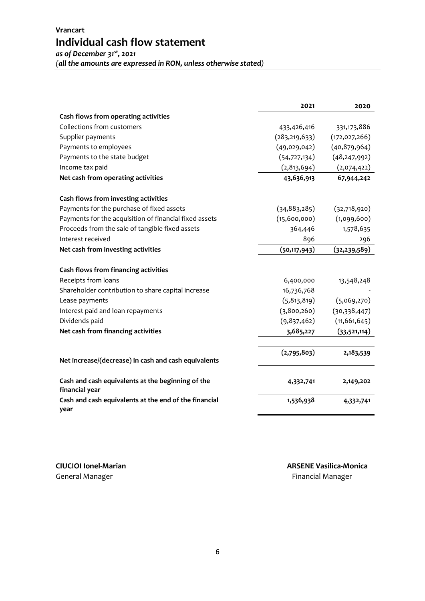**Vrancart Individual cash flow statement** *as of December 31st, 2021*

*(all the amounts are expressed in RON, unless otherwise stated)*

|                                                                     | 2021            | 2020            |
|---------------------------------------------------------------------|-----------------|-----------------|
| Cash flows from operating activities                                |                 |                 |
| Collections from customers                                          | 433,426,416     | 331,173,886     |
| Supplier payments                                                   | (283, 219, 633) | (172, 027, 266) |
| Payments to employees                                               | (49,029,042)    | (40,879,964)    |
| Payments to the state budget                                        | (54, 727, 134)  | (48, 247, 992)  |
| Income tax paid                                                     | (2,813,694)     | (2,074,422)     |
| Net cash from operating activities                                  | 43,636,913      | 67,944,242      |
| Cash flows from investing activities                                |                 |                 |
| Payments for the purchase of fixed assets                           | (34, 883, 285)  | (32,718,920)    |
| Payments for the acquisition of financial fixed assets              | (15,600,000)    | (1,099,600)     |
| Proceeds from the sale of tangible fixed assets                     | 364,446         | 1,578,635       |
| Interest received                                                   | 896             | 296             |
| Net cash from investing activities                                  | (50, 117, 943)  | (32, 239, 589)  |
| Cash flows from financing activities                                |                 |                 |
| Receipts from loans                                                 | 6,400,000       | 13,548,248      |
| Shareholder contribution to share capital increase                  | 16,736,768      |                 |
| Lease payments                                                      | (5, 813, 819)   | (5,069,270)     |
| Interest paid and loan repayments                                   | (3,800,260)     | (30,338,447)    |
| Dividends paid                                                      | (9,837,462)     | (11, 661, 645)  |
| Net cash from financing activities                                  | 3,685,227       | (33,521,114)    |
|                                                                     | (2,795,803)     | 2,183,539       |
| Net increase/(decrease) in cash and cash equivalents                |                 |                 |
| Cash and cash equivalents at the beginning of the<br>financial year | 4,332,741       | 2,149,202       |
| Cash and cash equivalents at the end of the financial<br>year       | 1,536,938       | 4,332,741       |

General Manager **Financial Manager General Manager Financial Manager**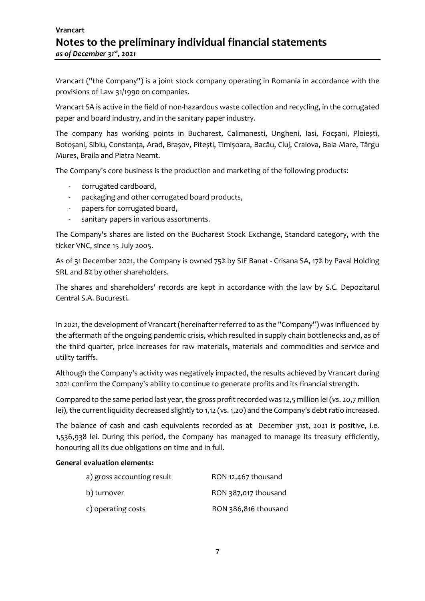# **Vrancart Notes to the preliminary individual financial statements** *as of December 31st , 2021*

Vrancart ("the Company") is a joint stock company operating in Romania in accordance with the provisions of Law 31/1990 on companies.

Vrancart SA is active in the field of non-hazardous waste collection and recycling, in the corrugated paper and board industry, and in the sanitary paper industry.

The company has working points in Bucharest, Calimanesti, Ungheni, Iasi, Focșani, Ploiești, Botoșani, Sibiu, Constanța, Arad, Brașov, Pitești, Timișoara, Bacău, Cluj, Craiova, Baia Mare, Târgu Mures, Braila and Piatra Neamt.

The Company's core business is the production and marketing of the following products:

- corrugated cardboard,
- packaging and other corrugated board products,
- papers for corrugated board,
- sanitary papers in various assortments.

The Company's shares are listed on the Bucharest Stock Exchange, Standard category, with the ticker VNC, since 15 July 2005.

As of 31 December 2021, the Company is owned 75% by SIF Banat - Crisana SA, 17% by Paval Holding SRL and 8% by other shareholders.

The shares and shareholders' records are kept in accordance with the law by S.C. Depozitarul Central S.A. Bucuresti.

In 2021, the development of Vrancart (hereinafter referred to as the "Company") was influenced by the aftermath of the ongoing pandemic crisis, which resulted in supply chain bottlenecks and, as of the third quarter, price increases for raw materials, materials and commodities and service and utility tariffs.

Although the Company's activity was negatively impacted, the results achieved by Vrancart during 2021 confirm the Company's ability to continue to generate profits and its financial strength.

Compared to the same period last year, the gross profit recorded was 12,5 million lei (vs. 20,7 million lei), the current liquidity decreased slightly to 1,12 (vs. 1,20) and the Company's debt ratio increased.

The balance of cash and cash equivalents recorded as at December 31st, 2021 is positive, i.e. 1,536,938 lei. During this period, the Company has managed to manage its treasury efficiently, honouring all its due obligations on time and in full.

#### **General evaluation elements:**

| a) gross accounting result | RON 12,467 thousand  |
|----------------------------|----------------------|
| b) turnover                | RON 387,017 thousand |
| c) operating costs         | RON 386,816 thousand |